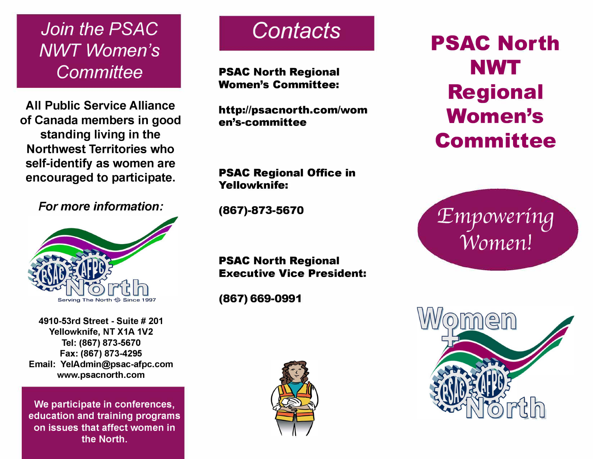*Join the PSAC NWT Women's Committee* 

**All Public Service Alliance of Canada members in good standing living in the Northwest Territories who self-identify as women are encouraged to participate.** 

*For more information:* 



**4910-53rd Street - Suite # 201 Yellowknife, NT X1A 1V2 Tel: (867) 873-5670 Fax: (867) 873-4295 Email: YelAdmin@psac-afpc.com www.psacnorth.com** 

**We participate in conferences, education and training programs on issues that affect women in the North.** 

## *Contacts*

**PSAC North Regional Women's Committee:** 

**http://psacnorth.com/wom en's-committee** 

# **PSAC North NWT Regional Women's Committee**

**PSAC Regional Office in Yellowknife:** 

**(867)-873-5670** 

**PSAC North Regional Executive Vice President:** 

**(867) 669-0991** 



*:Emyowerina Women!*